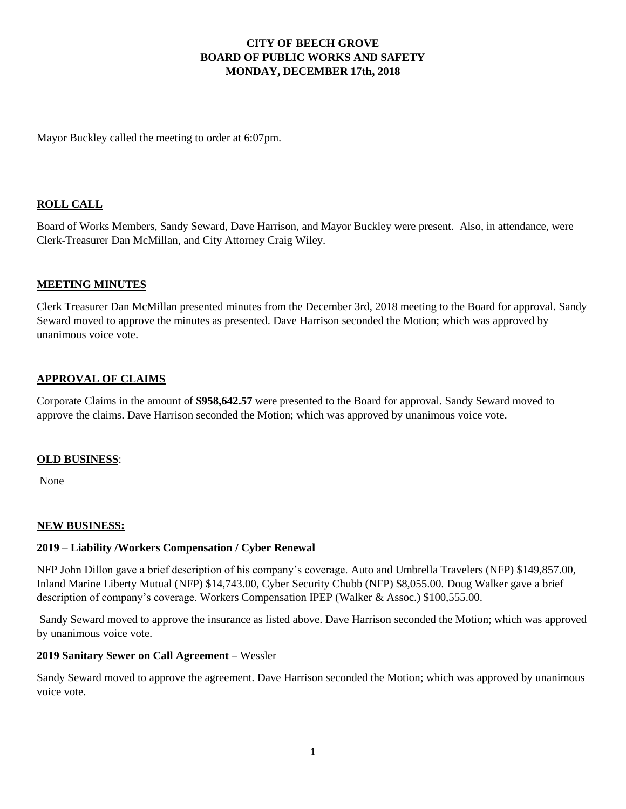## **CITY OF BEECH GROVE BOARD OF PUBLIC WORKS AND SAFETY MONDAY, DECEMBER 17th, 2018**

Mayor Buckley called the meeting to order at 6:07pm.

## **ROLL CALL**

Board of Works Members, Sandy Seward, Dave Harrison, and Mayor Buckley were present. Also, in attendance, were Clerk-Treasurer Dan McMillan, and City Attorney Craig Wiley.

## **MEETING MINUTES**

Clerk Treasurer Dan McMillan presented minutes from the December 3rd, 2018 meeting to the Board for approval. Sandy Seward moved to approve the minutes as presented. Dave Harrison seconded the Motion; which was approved by unanimous voice vote.

## **APPROVAL OF CLAIMS**

Corporate Claims in the amount of **\$958,642.57** were presented to the Board for approval. Sandy Seward moved to approve the claims. Dave Harrison seconded the Motion; which was approved by unanimous voice vote.

### **OLD BUSINESS**:

None

### **NEW BUSINESS:**

### **2019 – Liability /Workers Compensation / Cyber Renewal**

NFP John Dillon gave a brief description of his company's coverage. Auto and Umbrella Travelers (NFP) \$149,857.00, Inland Marine Liberty Mutual (NFP) \$14,743.00, Cyber Security Chubb (NFP) \$8,055.00. Doug Walker gave a brief description of company's coverage. Workers Compensation IPEP (Walker & Assoc.) \$100,555.00.

Sandy Seward moved to approve the insurance as listed above. Dave Harrison seconded the Motion; which was approved by unanimous voice vote.

### **2019 Sanitary Sewer on Call Agreement** – Wessler

Sandy Seward moved to approve the agreement. Dave Harrison seconded the Motion; which was approved by unanimous voice vote.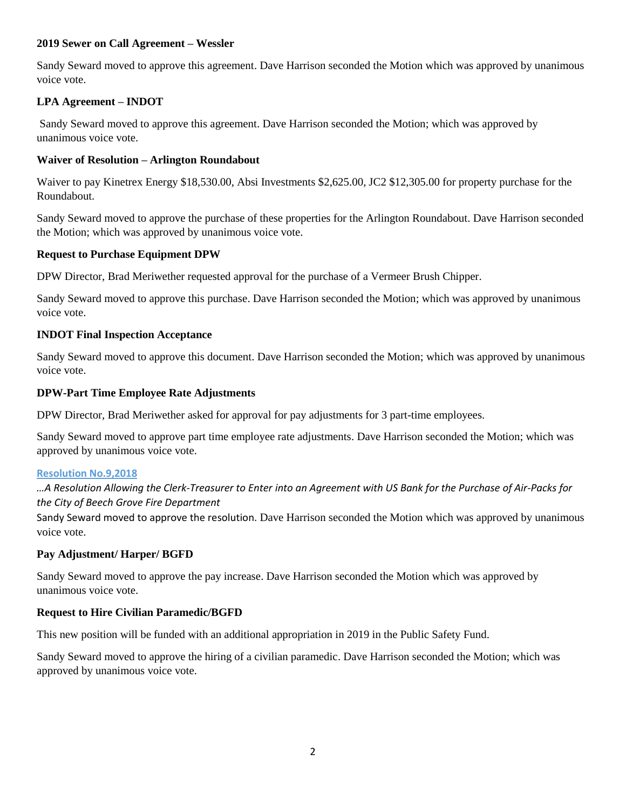### **2019 Sewer on Call Agreement – Wessler**

Sandy Seward moved to approve this agreement. Dave Harrison seconded the Motion which was approved by unanimous voice vote.

# **LPA Agreement – INDOT**

Sandy Seward moved to approve this agreement. Dave Harrison seconded the Motion; which was approved by unanimous voice vote.

## **Waiver of Resolution – Arlington Roundabout**

Waiver to pay Kinetrex Energy \$18,530.00, Absi Investments \$2,625.00, JC2 \$12,305.00 for property purchase for the Roundabout.

Sandy Seward moved to approve the purchase of these properties for the Arlington Roundabout. Dave Harrison seconded the Motion; which was approved by unanimous voice vote.

## **Request to Purchase Equipment DPW**

DPW Director, Brad Meriwether requested approval for the purchase of a Vermeer Brush Chipper.

Sandy Seward moved to approve this purchase. Dave Harrison seconded the Motion; which was approved by unanimous voice vote.

## **INDOT Final Inspection Acceptance**

Sandy Seward moved to approve this document. Dave Harrison seconded the Motion; which was approved by unanimous voice vote.

## **DPW-Part Time Employee Rate Adjustments**

DPW Director, Brad Meriwether asked for approval for pay adjustments for 3 part-time employees.

Sandy Seward moved to approve part time employee rate adjustments. Dave Harrison seconded the Motion; which was approved by unanimous voice vote.

### **[Resolution No.9,2018](http://www.beechgrove.com/uploads/1/0/1/2/10129925/resolution_no.9_2018.pdf)**

*…A Resolution Allowing the Clerk-Treasurer to Enter into an Agreement with US Bank for the Purchase of Air-Packs for the City of Beech Grove Fire Department* 

Sandy Seward moved to approve the resolution. Dave Harrison seconded the Motion which was approved by unanimous voice vote.

## **Pay Adjustment/ Harper/ BGFD**

Sandy Seward moved to approve the pay increase. Dave Harrison seconded the Motion which was approved by unanimous voice vote.

### **Request to Hire Civilian Paramedic/BGFD**

This new position will be funded with an additional appropriation in 2019 in the Public Safety Fund.

Sandy Seward moved to approve the hiring of a civilian paramedic. Dave Harrison seconded the Motion; which was approved by unanimous voice vote.